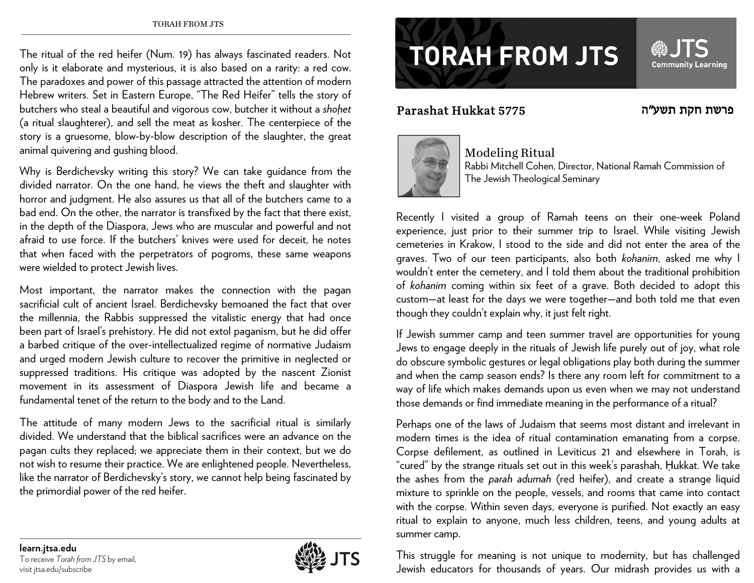The ritual of the red heifer (Num. 19) has always fascinated readers. Not only is it elaborate and mysterious, it is also based on a rarity: a red cow. The paradoxes and power of this passage attracted the attention of modern Hebrew writers. Set in Eastern Europe, "The Red Heifer" tells the story of butchers who steal a beautiful and vigorous cow, butcher it without a *shoḥet* (a ritual slaughterer), and sell the meat as kosher. The centerpiece of the story is a gruesome, blow-by-blow description of the slaughter, the great animal quivering and gushing blood.

Why is Berdichevsky writing this story? We can take guidance from the divided narrator. On the one hand, he views the theft and slaughter with horror and judgment. He also assures us that all of the butchers came to a bad end. On the other, the narrator is transfixed by the fact that there exist, in the depth of the Diaspora, Jews who are muscular and powerful and not afraid to use force. If the butchers' knives were used for deceit, he notes that when faced with the perpetrators of pogroms, these same weapons were wielded to protect Jewish lives.

Most important, the narrator makes the connection with the pagan sacrificial cult of ancient Israel. Berdichevsky bemoaned the fact that over the millennia, the Rabbis suppressed the vitalistic energy that had once been part of Israel's prehistory. He did not extol paganism, but he did offer a barbed critique of the over-intellectualized regime of normative Judaism and urged modern Jewish culture to recover the primitive in neglected or suppressed traditions. His critique was adopted by the nascent Zionist movement in its assessment of Diaspora Jewish life and became a fundamental tenet of the return to the body and to the Land.

The attitude of many modern Jews to the sacrificial ritual is similarly divided. We understand that the biblical sacrifices were an advance on the pagan cults they replaced; we appreciate them in their context, but we do not wish to resume their practice. We are enlightened people. Nevertheless, like the narrator of Berdichevsky's story, we cannot help being fascinated by the primordial power of the red heifer.

## **TORAH FROM JTS**

## Parashat Hukkat 5775

## ה פרשת חקת תשע"

**Community Learning** 



Modeling Ritual Rabbi Mitchell Cohen, Director, National Ramah Commission of The Jewish Theological Seminary

Recently I visited a group of Ramah teens on their one-week Poland experience, just prior to their summer trip to Israel. While visiting Jewish cemeteries in Krakow, I stood to the side and did not enter the area of the graves. Two of our teen participants, also both *kohanim*, asked me why I wouldn't enter the cemetery, and I told them about the traditional prohibition of *kohanim* coming within six feet of a grave. Both decided to adopt this custom—at least for the days we were together—and both told me that even though they couldn't explain why, it just felt right.

If Jewish summer camp and teen summer travel are opportunities for young Jews to engage deeply in the rituals of Jewish life purely out of joy, what role do obscure symbolic gestures or legal obligations play both during the summer and when the camp season ends? Is there any room left for commitment to a way of life which makes demands upon us even when we may not understand those demands or find immediate meaning in the performance of a ritual?

Perhaps one of the laws of Judaism that seems most distant and irrelevant in modern times is the idea of ritual contamination emanating from a corpse. Corpse defilement, as outlined in Leviticus 21 and elsewhere in Torah, is "cured" by the strange rituals set out in this week's parashah, Ḥukkat. We take the ashes from the *parah adumah* (red heifer), and create a strange liquid mixture to sprinkle on the people, vessels, and rooms that came into contact with the corpse. Within seven days, everyone is purified. Not exactly an easy ritual to explain to anyone, much less children, teens, and young adults at summer camp.

This struggle for meaning is not unique to modernity, but has challenged Jewish educators for thousands of years. Our midrash provides us with a